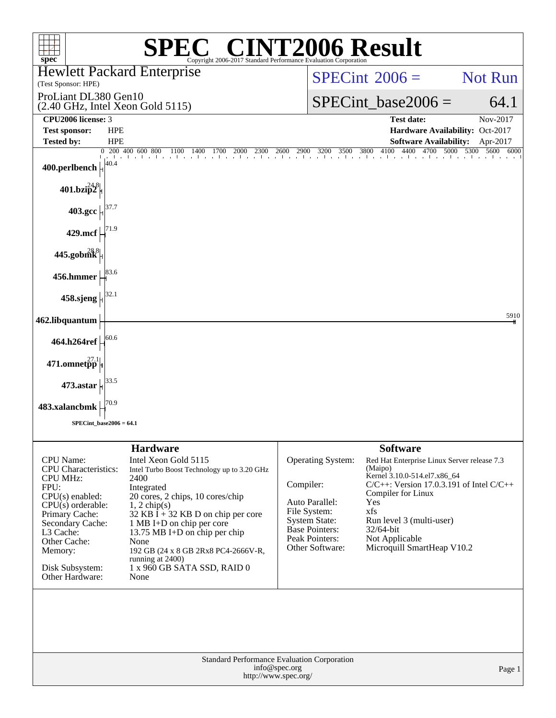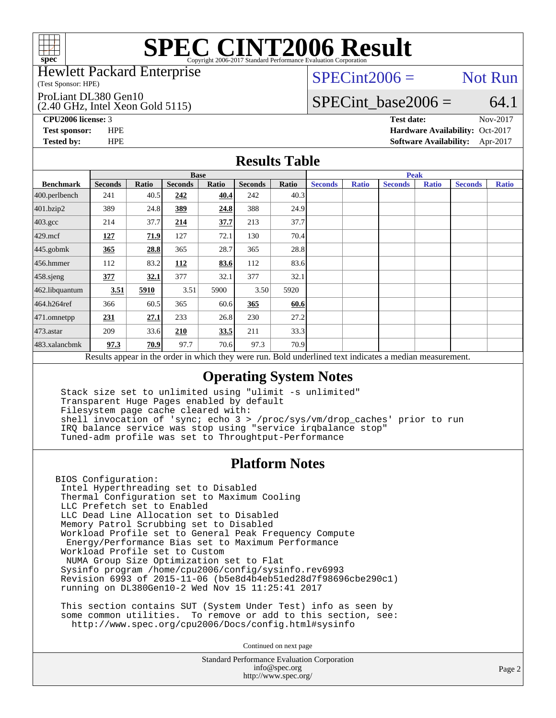

### Hewlett Packard Enterprise

(Test Sponsor: HPE)

ProLiant DL380 Gen10

(2.40 GHz, Intel Xeon Gold 5115)

 $SPECint2006 =$  Not Run

### SPECint base2006 =  $64.1$

**[CPU2006 license:](http://www.spec.org/auto/cpu2006/Docs/result-fields.html#CPU2006license)** 3 **[Test date:](http://www.spec.org/auto/cpu2006/Docs/result-fields.html#Testdate)** Nov-2017

**[Test sponsor:](http://www.spec.org/auto/cpu2006/Docs/result-fields.html#Testsponsor)** HPE **[Hardware Availability:](http://www.spec.org/auto/cpu2006/Docs/result-fields.html#HardwareAvailability)** Oct-2017 **[Tested by:](http://www.spec.org/auto/cpu2006/Docs/result-fields.html#Testedby)** HPE **[Software Availability:](http://www.spec.org/auto/cpu2006/Docs/result-fields.html#SoftwareAvailability)** Apr-2017

### **[Results Table](http://www.spec.org/auto/cpu2006/Docs/result-fields.html#ResultsTable)**

|                                                                                                          | <b>Base</b>    |       |                |       |                |       | <b>Peak</b>    |              |                |              |                |              |
|----------------------------------------------------------------------------------------------------------|----------------|-------|----------------|-------|----------------|-------|----------------|--------------|----------------|--------------|----------------|--------------|
| <b>Benchmark</b>                                                                                         | <b>Seconds</b> | Ratio | <b>Seconds</b> | Ratio | <b>Seconds</b> | Ratio | <b>Seconds</b> | <b>Ratio</b> | <b>Seconds</b> | <b>Ratio</b> | <b>Seconds</b> | <b>Ratio</b> |
| 400.perlbench                                                                                            | 241            | 40.5  | 242            | 40.4  | 242            | 40.3  |                |              |                |              |                |              |
| 401.bzip2                                                                                                | 389            | 24.8  | 389            | 24.8  | 388            | 24.9  |                |              |                |              |                |              |
| $403.\mathrm{gcc}$                                                                                       | 214            | 37.7  | 214            | 37.7  | 213            | 37.7  |                |              |                |              |                |              |
| $429$ .mcf                                                                                               | 127            | 71.9  | 127            | 72.1  | 130            | 70.4  |                |              |                |              |                |              |
| $445$ .gobmk                                                                                             | 365            | 28.8  | 365            | 28.7  | 365            | 28.8  |                |              |                |              |                |              |
| $456.$ hmmer                                                                                             | 112            | 83.2  | 112            | 83.6  | 112            | 83.6  |                |              |                |              |                |              |
| 458.sjeng                                                                                                | 377            | 32.1  | 377            | 32.1  | 377            | 32.1  |                |              |                |              |                |              |
| 462.libquantum                                                                                           | 3.51           | 5910  | 3.51           | 5900  | 3.50           | 5920  |                |              |                |              |                |              |
| 464.h264ref                                                                                              | 366            | 60.5  | 365            | 60.6  | 365            | 60.6  |                |              |                |              |                |              |
| $471$ .omnetpp                                                                                           | 231            | 27.1  | 233            | 26.8  | 230            | 27.2  |                |              |                |              |                |              |
| $473$ . astar                                                                                            | 209            | 33.6  | 210            | 33.5  | 211            | 33.3  |                |              |                |              |                |              |
| 483.xalancbmk                                                                                            | 97.3           | 70.9  | 97.7           | 70.6  | 97.3           | 70.9  |                |              |                |              |                |              |
| Results appear in the order in which they were run. Bold underlined text indicates a median measurement. |                |       |                |       |                |       |                |              |                |              |                |              |

### **[Operating System Notes](http://www.spec.org/auto/cpu2006/Docs/result-fields.html#OperatingSystemNotes)**

 Stack size set to unlimited using "ulimit -s unlimited" Transparent Huge Pages enabled by default Filesystem page cache cleared with: shell invocation of 'sync; echo 3 > /proc/sys/vm/drop\_caches' prior to run IRQ balance service was stop using "service irqbalance stop" Tuned-adm profile was set to Throughtput-Performance

### **[Platform Notes](http://www.spec.org/auto/cpu2006/Docs/result-fields.html#PlatformNotes)**

BIOS Configuration: Intel Hyperthreading set to Disabled Thermal Configuration set to Maximum Cooling LLC Prefetch set to Enabled LLC Dead Line Allocation set to Disabled Memory Patrol Scrubbing set to Disabled Workload Profile set to General Peak Frequency Compute Energy/Performance Bias set to Maximum Performance Workload Profile set to Custom NUMA Group Size Optimization set to Flat Sysinfo program /home/cpu2006/config/sysinfo.rev6993 Revision 6993 of 2015-11-06 (b5e8d4b4eb51ed28d7f98696cbe290c1) running on DL380Gen10-2 Wed Nov 15 11:25:41 2017

 This section contains SUT (System Under Test) info as seen by some common utilities. To remove or add to this section, see: <http://www.spec.org/cpu2006/Docs/config.html#sysinfo>

Continued on next page

Standard Performance Evaluation Corporation [info@spec.org](mailto:info@spec.org) <http://www.spec.org/>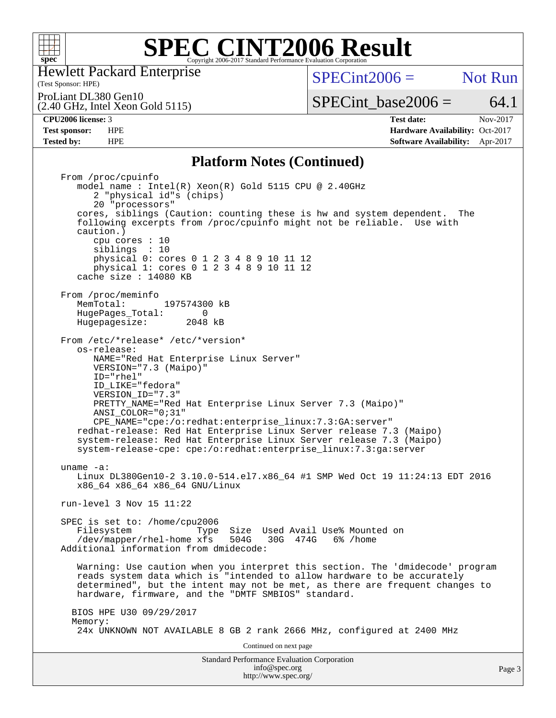

Hewlett Packard Enterprise

(Test Sponsor: HPE)

 $SPECint2006 =$  Not Run

SPECint base2006 =  $64.1$ 

ProLiant DL380 Gen10

(2.40 GHz, Intel Xeon Gold 5115)

**[Tested by:](http://www.spec.org/auto/cpu2006/Docs/result-fields.html#Testedby)** HPE **[Software Availability:](http://www.spec.org/auto/cpu2006/Docs/result-fields.html#SoftwareAvailability)** Apr-2017

**[CPU2006 license:](http://www.spec.org/auto/cpu2006/Docs/result-fields.html#CPU2006license)** 3 **[Test date:](http://www.spec.org/auto/cpu2006/Docs/result-fields.html#Testdate)** Nov-2017 **[Test sponsor:](http://www.spec.org/auto/cpu2006/Docs/result-fields.html#Testsponsor)** HPE **[Hardware Availability:](http://www.spec.org/auto/cpu2006/Docs/result-fields.html#HardwareAvailability)** Oct-2017

### **[Platform Notes \(Continued\)](http://www.spec.org/auto/cpu2006/Docs/result-fields.html#PlatformNotes)**

Standard Performance Evaluation Corporation [info@spec.org](mailto:info@spec.org) From /proc/cpuinfo model name : Intel(R) Xeon(R) Gold 5115 CPU @ 2.40GHz 2 "physical id"s (chips) 20 "processors" cores, siblings (Caution: counting these is hw and system dependent. The following excerpts from /proc/cpuinfo might not be reliable. Use with caution.) cpu cores : 10 siblings : 10 physical 0: cores 0 1 2 3 4 8 9 10 11 12 physical 1: cores 0 1 2 3 4 8 9 10 11 12 cache size : 14080 KB From /proc/meminfo<br>MemTotal: 197574300 kB HugePages\_Total: 0<br>Hugepagesize: 2048 kB Hugepagesize: From /etc/\*release\* /etc/\*version\* os-release: NAME="Red Hat Enterprise Linux Server" VERSION="7.3 (Maipo)" ID="rhel" ID\_LIKE="fedora" VERSION\_ID="7.3" PRETTY\_NAME="Red Hat Enterprise Linux Server 7.3 (Maipo)" ANSI\_COLOR="0;31" CPE\_NAME="cpe:/o:redhat:enterprise\_linux:7.3:GA:server" redhat-release: Red Hat Enterprise Linux Server release 7.3 (Maipo) system-release: Red Hat Enterprise Linux Server release 7.3 (Maipo) system-release-cpe: cpe:/o:redhat:enterprise\_linux:7.3:ga:server uname -a: Linux DL380Gen10-2 3.10.0-514.el7.x86\_64 #1 SMP Wed Oct 19 11:24:13 EDT 2016 x86\_64 x86\_64 x86\_64 GNU/Linux run-level 3 Nov 15 11:22 SPEC is set to: /home/cpu2006 Filesystem Type Size Used Avail Use% Mounted on<br>/dev/mapper/rhel-home xfs 504G 30G 474G 6% /home  $/$ dev/mapper/rhel-home xfs 504G Additional information from dmidecode: Warning: Use caution when you interpret this section. The 'dmidecode' program reads system data which is "intended to allow hardware to be accurately determined", but the intent may not be met, as there are frequent changes to hardware, firmware, and the "DMTF SMBIOS" standard. BIOS HPE U30 09/29/2017 Memory: 24x UNKNOWN NOT AVAILABLE 8 GB 2 rank 2666 MHz, configured at 2400 MHz Continued on next page

<http://www.spec.org/>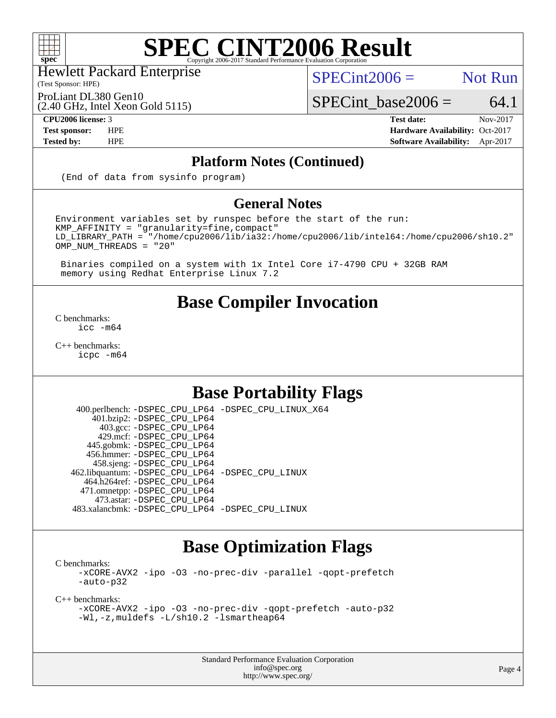

Hewlett Packard Enterprise

(Test Sponsor: HPE)

 $SPECint2006 =$  Not Run

(2.40 GHz, Intel Xeon Gold 5115) ProLiant DL380 Gen10

SPECint base2006 =  $64.1$ 

**[CPU2006 license:](http://www.spec.org/auto/cpu2006/Docs/result-fields.html#CPU2006license)** 3 **[Test date:](http://www.spec.org/auto/cpu2006/Docs/result-fields.html#Testdate)** Nov-2017 **[Test sponsor:](http://www.spec.org/auto/cpu2006/Docs/result-fields.html#Testsponsor)** HPE **[Hardware Availability:](http://www.spec.org/auto/cpu2006/Docs/result-fields.html#HardwareAvailability)** Oct-2017 **[Tested by:](http://www.spec.org/auto/cpu2006/Docs/result-fields.html#Testedby)** HPE **[Software Availability:](http://www.spec.org/auto/cpu2006/Docs/result-fields.html#SoftwareAvailability)** Apr-2017

### **[Platform Notes \(Continued\)](http://www.spec.org/auto/cpu2006/Docs/result-fields.html#PlatformNotes)**

(End of data from sysinfo program)

### **[General Notes](http://www.spec.org/auto/cpu2006/Docs/result-fields.html#GeneralNotes)**

Environment variables set by runspec before the start of the run: KMP\_AFFINITY = "granularity=fine,compact" LD\_LIBRARY\_PATH = "/home/cpu2006/lib/ia32:/home/cpu2006/lib/intel64:/home/cpu2006/sh10.2" OMP NUM THREADS = "20"

 Binaries compiled on a system with 1x Intel Core i7-4790 CPU + 32GB RAM memory using Redhat Enterprise Linux 7.2

## **[Base Compiler Invocation](http://www.spec.org/auto/cpu2006/Docs/result-fields.html#BaseCompilerInvocation)**

[C benchmarks](http://www.spec.org/auto/cpu2006/Docs/result-fields.html#Cbenchmarks): [icc -m64](http://www.spec.org/cpu2006/results/res2017q4/cpu2006-20171127-50750.flags.html#user_CCbase_intel_icc_64bit_bda6cc9af1fdbb0edc3795bac97ada53)

[C++ benchmarks:](http://www.spec.org/auto/cpu2006/Docs/result-fields.html#CXXbenchmarks) [icpc -m64](http://www.spec.org/cpu2006/results/res2017q4/cpu2006-20171127-50750.flags.html#user_CXXbase_intel_icpc_64bit_fc66a5337ce925472a5c54ad6a0de310)

# **[Base Portability Flags](http://www.spec.org/auto/cpu2006/Docs/result-fields.html#BasePortabilityFlags)**

 400.perlbench: [-DSPEC\\_CPU\\_LP64](http://www.spec.org/cpu2006/results/res2017q4/cpu2006-20171127-50750.flags.html#b400.perlbench_basePORTABILITY_DSPEC_CPU_LP64) [-DSPEC\\_CPU\\_LINUX\\_X64](http://www.spec.org/cpu2006/results/res2017q4/cpu2006-20171127-50750.flags.html#b400.perlbench_baseCPORTABILITY_DSPEC_CPU_LINUX_X64) 401.bzip2: [-DSPEC\\_CPU\\_LP64](http://www.spec.org/cpu2006/results/res2017q4/cpu2006-20171127-50750.flags.html#suite_basePORTABILITY401_bzip2_DSPEC_CPU_LP64) 403.gcc: [-DSPEC\\_CPU\\_LP64](http://www.spec.org/cpu2006/results/res2017q4/cpu2006-20171127-50750.flags.html#suite_basePORTABILITY403_gcc_DSPEC_CPU_LP64) 429.mcf: [-DSPEC\\_CPU\\_LP64](http://www.spec.org/cpu2006/results/res2017q4/cpu2006-20171127-50750.flags.html#suite_basePORTABILITY429_mcf_DSPEC_CPU_LP64) 445.gobmk: [-DSPEC\\_CPU\\_LP64](http://www.spec.org/cpu2006/results/res2017q4/cpu2006-20171127-50750.flags.html#suite_basePORTABILITY445_gobmk_DSPEC_CPU_LP64) 456.hmmer: [-DSPEC\\_CPU\\_LP64](http://www.spec.org/cpu2006/results/res2017q4/cpu2006-20171127-50750.flags.html#suite_basePORTABILITY456_hmmer_DSPEC_CPU_LP64) 458.sjeng: [-DSPEC\\_CPU\\_LP64](http://www.spec.org/cpu2006/results/res2017q4/cpu2006-20171127-50750.flags.html#suite_basePORTABILITY458_sjeng_DSPEC_CPU_LP64) 462.libquantum: [-DSPEC\\_CPU\\_LP64](http://www.spec.org/cpu2006/results/res2017q4/cpu2006-20171127-50750.flags.html#suite_basePORTABILITY462_libquantum_DSPEC_CPU_LP64) [-DSPEC\\_CPU\\_LINUX](http://www.spec.org/cpu2006/results/res2017q4/cpu2006-20171127-50750.flags.html#b462.libquantum_baseCPORTABILITY_DSPEC_CPU_LINUX) 464.h264ref: [-DSPEC\\_CPU\\_LP64](http://www.spec.org/cpu2006/results/res2017q4/cpu2006-20171127-50750.flags.html#suite_basePORTABILITY464_h264ref_DSPEC_CPU_LP64) 471.omnetpp: [-DSPEC\\_CPU\\_LP64](http://www.spec.org/cpu2006/results/res2017q4/cpu2006-20171127-50750.flags.html#suite_basePORTABILITY471_omnetpp_DSPEC_CPU_LP64) 473.astar: [-DSPEC\\_CPU\\_LP64](http://www.spec.org/cpu2006/results/res2017q4/cpu2006-20171127-50750.flags.html#suite_basePORTABILITY473_astar_DSPEC_CPU_LP64) 483.xalancbmk: [-DSPEC\\_CPU\\_LP64](http://www.spec.org/cpu2006/results/res2017q4/cpu2006-20171127-50750.flags.html#suite_basePORTABILITY483_xalancbmk_DSPEC_CPU_LP64) [-DSPEC\\_CPU\\_LINUX](http://www.spec.org/cpu2006/results/res2017q4/cpu2006-20171127-50750.flags.html#b483.xalancbmk_baseCXXPORTABILITY_DSPEC_CPU_LINUX)

# **[Base Optimization Flags](http://www.spec.org/auto/cpu2006/Docs/result-fields.html#BaseOptimizationFlags)**

[C benchmarks](http://www.spec.org/auto/cpu2006/Docs/result-fields.html#Cbenchmarks):

[-xCORE-AVX2](http://www.spec.org/cpu2006/results/res2017q4/cpu2006-20171127-50750.flags.html#user_CCbase_f-xCORE-AVX2) [-ipo](http://www.spec.org/cpu2006/results/res2017q4/cpu2006-20171127-50750.flags.html#user_CCbase_f-ipo) [-O3](http://www.spec.org/cpu2006/results/res2017q4/cpu2006-20171127-50750.flags.html#user_CCbase_f-O3) [-no-prec-div](http://www.spec.org/cpu2006/results/res2017q4/cpu2006-20171127-50750.flags.html#user_CCbase_f-no-prec-div) [-parallel](http://www.spec.org/cpu2006/results/res2017q4/cpu2006-20171127-50750.flags.html#user_CCbase_f-parallel) [-qopt-prefetch](http://www.spec.org/cpu2006/results/res2017q4/cpu2006-20171127-50750.flags.html#user_CCbase_f-qopt-prefetch) [-auto-p32](http://www.spec.org/cpu2006/results/res2017q4/cpu2006-20171127-50750.flags.html#user_CCbase_f-auto-p32)

[C++ benchmarks:](http://www.spec.org/auto/cpu2006/Docs/result-fields.html#CXXbenchmarks)

```
-xCORE-AVX2 -ipo -O3 -no-prec-div -qopt-prefetch -auto-p32
-Wl,-z,muldefs -L/sh10.2 -lsmartheap64
```
Standard Performance Evaluation Corporation [info@spec.org](mailto:info@spec.org) <http://www.spec.org/>